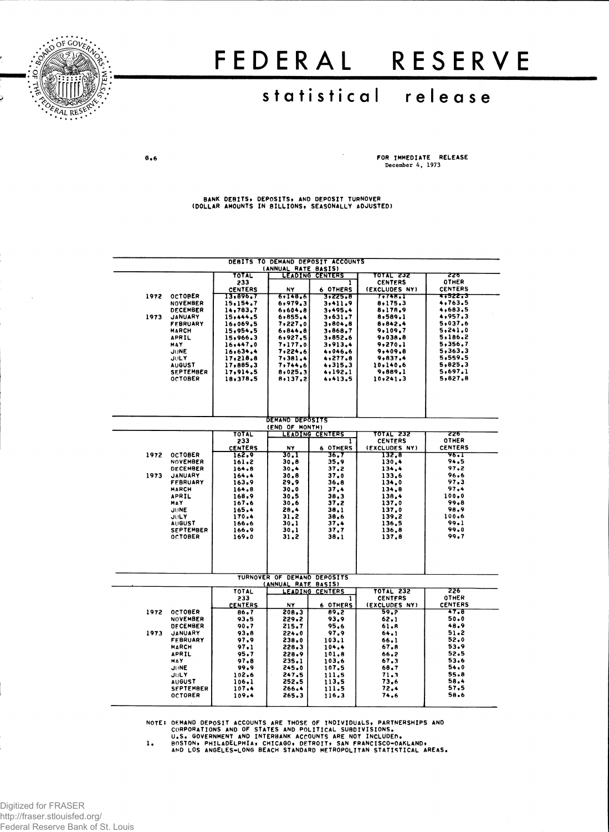

# FEDERA L RESERV E

## statistical release

 $G<sub>0</sub>$ 

**FOR IMMEDIATE RELEASE December 4, 1973**

**BANK DEBITS# DEPOSITS, AND DEPOSIT TURNOVER (DOLLAR AMOUNTS IN BILLIONS, SEASONALLY ADJUSTED)**

| DEBITS TO DEMAND DEPOSIT ACCOUNTS<br>(ANNUAL RATE BASIS) |                                   |                            |                             |                             |                          |                                  |  |  |  |  |  |  |
|----------------------------------------------------------|-----------------------------------|----------------------------|-----------------------------|-----------------------------|--------------------------|----------------------------------|--|--|--|--|--|--|
|                                                          |                                   | TOTAL                      |                             | <b>LEADING CENTERS</b>      | TOTAL 232                | 226                              |  |  |  |  |  |  |
|                                                          |                                   | 233                        |                             | ı                           | <b>CENTERS</b>           | <b>OTHER</b>                     |  |  |  |  |  |  |
| 1972                                                     | <b>OCTOBER</b>                    | <b>CENTERS</b><br>13,896,7 | NY<br>6,148.6               | 6 OTHERS<br>3,225,8         | (EXCLUDES NY)<br>7,748.I | <b>CENTERS</b><br><b>*,522,3</b> |  |  |  |  |  |  |
|                                                          | <b>NOVEMBER</b>                   | 15,154.7                   | 6,979.3                     | 3,411.9                     | 8,175.3                  | 4,763.5                          |  |  |  |  |  |  |
|                                                          | <b>DECEMBER</b>                   | 14,783.7                   | 6,604.8                     | 3,495.4                     | 8,178.9                  | 4,683.5                          |  |  |  |  |  |  |
| 1973                                                     | <b>JANUARY</b>                    | 15,444.5                   | 6,855.4                     | 3,631.7                     | 8,589.1                  | 4,957.3                          |  |  |  |  |  |  |
|                                                          | <b>FFBRUARY</b><br><b>MARCH</b>   | 16,069.5<br>15,954.5       | 7,227.0<br>6,844.8          | 3,804.8<br>3,868.7          | 8,842.4<br>9,109.7       | 5,037.6<br>5,241.0               |  |  |  |  |  |  |
|                                                          | APRIL                             | 15,966.3                   | 6,927.5                     | 3,852.6                     | 9,038.8                  | 5,186.2                          |  |  |  |  |  |  |
|                                                          | MAY                               | 16,447.0                   | 7,177.0                     | 3,913.4                     | 9,270.1                  | 5,356,7                          |  |  |  |  |  |  |
|                                                          | JUNE                              | 16,634.4                   | 7,224.6                     | 4,046.6                     | 9,409,8                  | 5,363,3                          |  |  |  |  |  |  |
|                                                          | <b>JULY</b>                       | 17,218,8                   | 7,381.4                     | 4,277.8                     | 9,837.4                  | 5,559.5                          |  |  |  |  |  |  |
|                                                          | <b>AUGUST</b><br><b>SEPTEMBER</b> | 17,885.3<br>17,914,5       | 7,744.6<br>8,025.3          | 4.315.3<br>4,192.1          | 10,140.6<br>9,889.1      | 5,825.3<br>5,697.1               |  |  |  |  |  |  |
|                                                          | <b>OCTOBER</b>                    | 18,378.5                   | 8,137,2                     | 4,413.5                     | 10,241.3                 | 5.827.8                          |  |  |  |  |  |  |
|                                                          |                                   |                            |                             |                             |                          |                                  |  |  |  |  |  |  |
|                                                          |                                   |                            |                             |                             |                          |                                  |  |  |  |  |  |  |
|                                                          |                                   |                            |                             |                             |                          |                                  |  |  |  |  |  |  |
|                                                          |                                   |                            |                             |                             |                          |                                  |  |  |  |  |  |  |
| <b>DEMAND DEPOSITS</b><br>(END OF MONTH)                 |                                   |                            |                             |                             |                          |                                  |  |  |  |  |  |  |
|                                                          |                                   | TOTAL                      |                             | LEADING CENTERS             | TOTAL 232                | टटरु                             |  |  |  |  |  |  |
|                                                          |                                   | 233                        |                             | 1                           | <b>CENTERS</b>           | OTHER                            |  |  |  |  |  |  |
|                                                          |                                   | <b>CENTERS</b>             | NY                          | 6 OTHERS                    | (EXCLUDES NY)            | <b>CENTERS</b>                   |  |  |  |  |  |  |
| 1972                                                     | <b>OCTOBER</b>                    | 162.9                      | 30.1                        | 36.7                        | 132.6                    | ण्डन                             |  |  |  |  |  |  |
|                                                          | <b>NOVEMBER</b><br>DECEMBER       | 161.2<br>164.8             | 30,8<br>30.4                | 35.9<br>37.2                | 130.4<br>134.4           | 94.5<br>97.2                     |  |  |  |  |  |  |
| 1973                                                     | <b>JANUARY</b>                    | 164.4                      | 30.8                        | 37.0                        | 133.6                    | 96.6                             |  |  |  |  |  |  |
|                                                          | <b>FEBRUARY</b>                   | 163.9                      | 29.9                        | 36.8                        | 134.0                    | 97.3                             |  |  |  |  |  |  |
|                                                          | <b>MARCH</b>                      | 164.8                      | 30.0                        | 37.4                        | 134.6                    | 97.4                             |  |  |  |  |  |  |
|                                                          | <b>APRIL</b>                      | 168.9                      | 30.5                        | 38.3                        | 138.4                    | 100.0<br>99.8                    |  |  |  |  |  |  |
|                                                          | MAY<br>JUNE                       | 167.6<br>165.4             | 30,6<br>28.4                | 37.2<br>38.1                | 137.0<br>137.0           | 98.9                             |  |  |  |  |  |  |
|                                                          | <b>JULY</b>                       | 170.4                      | 31.2                        | 38.6                        | 139.2                    | 100.6                            |  |  |  |  |  |  |
|                                                          | <b>AUGUST</b>                     | 166.6                      | 30.1                        | 37.4                        | 136.5                    | 99.1                             |  |  |  |  |  |  |
|                                                          | <b>SEPTEMBER</b>                  | 166.9                      | 30.1                        | 37.7                        | 136.8                    | 99.0                             |  |  |  |  |  |  |
|                                                          | <b>OCTOBER</b>                    | 169.0                      | 31.2                        | 38.1                        | 137.8                    | 99.7                             |  |  |  |  |  |  |
|                                                          |                                   |                            |                             |                             |                          |                                  |  |  |  |  |  |  |
|                                                          |                                   |                            |                             |                             |                          |                                  |  |  |  |  |  |  |
|                                                          |                                   |                            |                             |                             |                          |                                  |  |  |  |  |  |  |
|                                                          |                                   |                            | TURNOVER OF DEMAND DEPOSITS |                             |                          |                                  |  |  |  |  |  |  |
|                                                          |                                   | TOTAL                      | (ANNUAL RATE BASIS)         |                             | <b>TOTAL 232</b>         | 226                              |  |  |  |  |  |  |
|                                                          |                                   | 233                        |                             | <b>LEADING CENTERS</b><br>ı | <b>CENTERS</b>           | OTHER                            |  |  |  |  |  |  |
|                                                          |                                   | <b>CENTERS</b>             | <b>NY</b>                   | 6 OTHERS                    | (EXCLUDES NY)            | <b>CENTERS</b>                   |  |  |  |  |  |  |
| 1972                                                     | <b>OCTOBER</b>                    | 86.7                       | 208.3                       | 89.2                        | 59.2                     | 47.8                             |  |  |  |  |  |  |
|                                                          | <b>NOVEMBER</b>                   | 93.5                       | 229.2                       | 93.9                        | 62.1                     | 50.0                             |  |  |  |  |  |  |
| 1973                                                     | <b>DECEMBER</b>                   | 90.7<br>93.6               | 215.7                       | 95.6                        | 61.8                     | 48.9<br>51.2                     |  |  |  |  |  |  |
|                                                          | JANUARY<br><b>FEBRUARY</b>        | 97.9                       | 224.0<br>238.0              | 97.9<br>103.1               | 64.1<br>66.1             | 52.0                             |  |  |  |  |  |  |
|                                                          | <b>MARCH</b>                      | 97.1                       | 228.3                       | 104.4                       | 67.8                     | 53.9                             |  |  |  |  |  |  |
|                                                          | <b>APRIL</b>                      | 95.7                       | 228.9                       | 101.8                       | 66.2                     | 52.5                             |  |  |  |  |  |  |
|                                                          | MAY                               | 97.8                       | 235.1                       | 103.6                       | 67.3                     | 53.6                             |  |  |  |  |  |  |
|                                                          | <b>JUNE</b>                       | 99.9                       | 245.0                       | 107.5                       | 68.7                     | 54.0                             |  |  |  |  |  |  |
|                                                          | <b>JULY</b><br><b>AUGUST</b>      | 102.6<br>106.1             | 247.5<br>252.5              | 111.5                       | 71.3<br>73.6             | 55.8<br>58.4                     |  |  |  |  |  |  |
|                                                          | <b>SEPTEMBER</b>                  | 107.4                      | 266.4                       | 113.5<br>111.5              | 72.4                     | 57.5                             |  |  |  |  |  |  |
|                                                          | <b>OCTOBER</b>                    | 109.4                      | 265.3                       | 116.3                       | 74.6                     | 58.6                             |  |  |  |  |  |  |
|                                                          |                                   |                            |                             |                             |                          |                                  |  |  |  |  |  |  |

NOTE: DEMAND DEPOSIT ACCOUNTS ARE THOSE OF INDIVIDUALS, PARTNERSHIPS AND<br>CORPORATIONS AND OF STATES AND POLITICAL SUBDIVISIONS.<br>U.S. GOVERNMENT AND INTERBANK ACCOUNTS ARE NOT INCLUDED.<br>1. BOSTON, PHILADELPHIA, CHICAGO, DET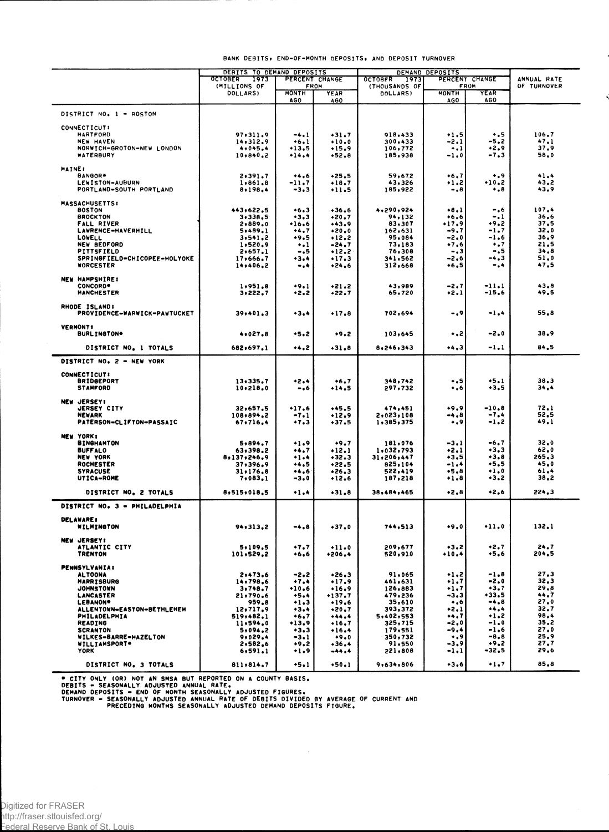|  | BANK DEBITS, END-OF-MONTH DEPOSITS, AND DEPOSIT TURNOVER |  |  |
|--|----------------------------------------------------------|--|--|
|  |                                                          |  |  |

|                                               | DEBITS TO DEMAND DEPOSITS |                             | DEMAND DEPOSITS     |                                  |                   |                          |              |
|-----------------------------------------------|---------------------------|-----------------------------|---------------------|----------------------------------|-------------------|--------------------------|--------------|
|                                               | <b>OCTOBER</b><br>1973    | PERCENT CHANGE              |                     | <b>OCTOBFR</b><br>1973           |                   | PERCENT CHANGE           | ANNUAL RATE  |
|                                               | (MILLIONS OF<br>DOLLARS)  | <b>FROM</b><br><b>HONTH</b> | <b>YEAR</b>         | (THOUSANDS OF<br><b>DOLLARS)</b> | <b>MONTH</b>      | <b>FROM</b><br>YEAR      | OF TURNOVER  |
|                                               |                           | AGO.                        | <b>AGO</b>          |                                  | AGO               | <b>AGO</b>               |              |
| DISTRICT NO. 1 - ROSTON                       |                           |                             |                     |                                  |                   |                          |              |
|                                               |                           |                             |                     |                                  |                   |                          |              |
| <b>CONNECTICUT:</b>                           |                           |                             |                     |                                  |                   |                          |              |
| <b>HARTFORD</b>                               | 97,311.9                  | $-4.1$                      | $-31.7$             | 918,433                          | $+1.5$            | $\ddotsc$                | 106.7        |
| <b>NEW HAVEN</b><br>NORWICH-GROTON-NEW LONDON | 14,312.9<br>4,045.4       | $+6.1$<br>+13,5             | $+10.0$<br>$+15.9$  | 300,433<br>106,772               | -2.1              | -5.2<br>•2.9             | 47.1<br>37.9 |
| WATERBURY                                     | 10,840,2                  | +14.4                       | $+52.8$             | 185,938                          | ۰.۱<br>-1.0       | -7.3                     | 58.0         |
|                                               |                           |                             |                     |                                  |                   |                          |              |
| <b>MAINE:</b>                                 |                           |                             |                     |                                  |                   |                          |              |
| BANGOR*                                       | 2,391.7                   | 6                           | $+25.5$             | 59,672                           | $+6.7$            | $\ddotsc$<br>$+10.2$     | 41.4         |
| LEWISTON-AUBURN<br>PORTLAND-SOUTH PORTLAND    | 1,861.8<br>8,198.4        | -11.7<br>$-3.3$             | $+18.7$<br>$+11.5$  | 43,326<br>185,922                | +1.2<br>$-0.8$    | $\boldsymbol{\cdot}$ . 8 | 43,2<br>43,9 |
|                                               |                           |                             |                     |                                  |                   |                          |              |
| <b>MASSACHUSETTS:</b>                         |                           |                             |                     |                                  |                   |                          |              |
| <b>BOSTON</b>                                 | 443,622.5                 | $+6.3$                      | $+36.6$             | 4,290,924                        | $+8.1$            | -.6                      | 107.4        |
| <b>BROCKTON</b><br><b>FALL RIVER</b>          | 3,338.5<br>2,889.0        | $-3.3$<br>•16.6             | $+20.7$<br>$+43.9$  | 94,132<br>83,307                 | $+6.6$<br>$-17.9$ | -.1<br>$+9.2$            | 36.6<br>37.5 |
| LAWRENCE-HAVERHILL                            | 5,489.1                   | $+4.7$                      | $*20.0$             | 162,631                          | -9,7              | -1.7                     | 32.0         |
| LOWELL                                        | 3,541.2                   | $+9.5$                      | $+12.2$             | 95,084                           | -2.0              | -1.6                     | 36,9         |
| <b>NEW BEDFORD</b>                            | 1,520.9                   | $\ddotsc$                   | -24.7               | 73,183                           | $+7.6$            | $\ddotsc$                | 21.5         |
| PITTSFIELD                                    | 2,657.1                   | -.5                         | $+12.2$             | 76,308                           | $-0.3$            | -.5                      | 34.8         |
| SPRINGFIELD-CHICOPEE-HOLYOKE                  | 17,666.7                  | $+3.4$                      | $+17.3$             | 341,562                          | -2.6              | -4.3<br>-.4              | 51,0<br>47.5 |
| <b>WORCESTER</b>                              | 14,406.2                  | -                           | $+24.6$             | 312,668                          | ∙6,5              |                          |              |
| <b>NEW HAMPSHIRE:</b>                         |                           |                             |                     |                                  |                   |                          |              |
| <b>CONCORD*</b>                               | 1,951,8                   | $+9.1$                      | $+21.2$             | 43,989                           | -2.7              | $-11.1$                  | 43.8         |
| <b>MANCHESTER</b>                             | 3,222.7                   | $+2.2$                      | +22.7               | 65,720                           | $+2.1$            | -15.6                    | 49.5         |
| RHODE ISLAND:                                 |                           |                             |                     |                                  |                   |                          |              |
| PROVIDENCE-WARWICK-PAWTUCKET                  | 39,401.3                  | $+3.4$                      | $+17.8$             | 702,694                          | - , 9             | -1.4                     | 55.8         |
|                                               |                           |                             |                     |                                  |                   |                          |              |
| <b>VERMONT:</b>                               |                           |                             |                     |                                  |                   |                          |              |
| <b>BURLINGTON*</b>                            | 4,027.8                   | $+5.2$                      | ∙9.2                | 103,645                          | ء.                | -2.0                     | 38.9         |
| DISTRICT NO. 1 TOTALS                         | 682,697.1                 | 2                           | $-31.8$             | 8,246,343                        | $+4.3$            | -1.1                     | 84.5         |
|                                               |                           |                             |                     |                                  |                   |                          |              |
| DISTRICT NO. 2 - NEW YORK                     |                           |                             |                     |                                  |                   |                          |              |
| <b>CONNECTICUT:</b>                           |                           |                             |                     |                                  |                   |                          |              |
| <b>BRIDGEPORT</b>                             | 13.335.7                  | $+2.4$                      | $+6.7$              | 348,742                          | $\ddotsc$         | $+5.1$                   | 38.3         |
| <b>STAMFORD</b>                               | 10.218.0                  | - . 6                       | $+14.5$             | 297.732                          | $\ddotsc$         | $+3.5$                   | 34.4         |
| <b>NEW JERSEY!</b>                            |                           |                             |                     |                                  |                   |                          |              |
| <b>JERSEY CITY</b>                            | 32,657.5                  | $+17.6$                     | $+45.5$             | 474,451                          | $+9.9$            | $-10.8$                  | 72.1         |
| <b>NEWARK</b>                                 | 108,894.2                 | $-7.1$                      | $+12.9$             | 2,023,108                        | -4.8              | $-7.4$                   | 52.5         |
| PATERSON-CLIFTON-PASSAIC                      | 67,716,4                  | $+7.3$                      | $+37.5$             | 1,385,375                        | $\ddotsc$         | -1.2                     | 49.1         |
|                                               |                           |                             |                     |                                  |                   |                          |              |
| <b>NEW YORK:</b><br><b>BINGHAMTON</b>         | 5,894.7                   | $+1.9$                      | $+9.7$              | 181,076                          | $-3.1$            | -6,7                     | 32.0         |
| <b>BUFFALO</b>                                | 63,398.2                  | 7                           | $+12.1$             | 1,032,793                        | +2.1              | $+3.3$                   | 62.0         |
| <b>NEW YORK</b>                               | 8,137,246.9               | $+1.4$                      | $+32.3$             | 31,206,447                       | +3.5              | $+3.8$                   | 265,3        |
| ROCHESTER                                     | 37,396.9                  | 5                           | +22.5               | 825,104                          | -1.4              | +5,5                     | 45.0         |
| <b>SYRACUSE</b>                               | 31.176.8                  | 6                           | $+26.3$             | 522,419                          | $+5.8$            | $+1.0$                   | 61.4         |
| UTICA-ROME                                    | 7,083,1                   | $-3.0$                      | $+12.6$             | 187,218                          | $+1.8$            | ∙3,2                     | 38,2         |
| DISTRICT NO. 2 TOTALS                         | 8,515,018.5               |                             | $+31.8$             | 38,484,465                       | •2.8              | +2.6                     | 224.3        |
|                                               |                           |                             |                     |                                  |                   |                          |              |
| DISTRICT NO. 3 - PHILADELPHIA                 |                           |                             |                     |                                  |                   |                          |              |
| <b>DELAWARE:</b>                              |                           |                             |                     |                                  |                   |                          |              |
| WILMINGTON                                    | 94,313.2                  | -4,8                        | $+37.0$             | 744,513                          | $+9.0$            | $+11.0$                  | 132,1        |
|                                               |                           |                             |                     |                                  |                   |                          |              |
| <b>NEW JERSEY!</b><br>ATLANTIC CITY           |                           | $+7.7$                      |                     | 209,677                          |                   | +2.7                     | 24,7         |
| <b>TRENTON</b>                                | 5,109.5<br>101,529.2      | $+6,6$                      | $+11.0$<br>$*206.4$ | 520,910                          | $-3.2$<br>$+10.4$ | +5,6                     | 204.5        |
|                                               |                           |                             |                     |                                  |                   |                          |              |
| <b>PENNSYLVANIA:</b>                          |                           |                             |                     |                                  |                   |                          |              |
| <b>ALTOONA</b>                                | 2,473,6<br>14,798.6       | $-2.2$                      | $+26.3$             | 91,065                           | $+1.2$            | $-1.8$                   | 27.3<br>32.3 |
| <b>HARRISBURG</b><br><b>JOHNSTOWN</b>         | 3.748.7                   | $+7.4$<br>$+10.6$           | $+17.9$<br>$+16.9$  | 461,631<br>126,883               | $+1.7$<br>+1.7    | -2.0<br>+3.7             | 29.8         |
| LANCASTER                                     | 21,790.6                  | $+5.4$                      | +137.7              | 479,236                          | -3.3              | +33.5                    | 44.7         |
| <b>LEBANON*</b>                               | 959.8                     | $+1.3$                      | $+19.6$             | 35,610                           | $\bullet$ ,6      | $-4.8$                   | 27.0         |
| ALLENTOWN-EASTON-BETHLEHEM                    | 12,717.9                  | $+3.4$                      | $+20.7$             | 393,372                          | $+2.1$            | 4                        | 32.7         |
| PHILADELPHIA                                  | 519,482.1                 | $+6.7$                      | $+44.4$             | 5,402,553                        | +4.7              | $+1.2$                   | 98.4         |
| <b>READING</b><br><b>SCRANTON</b>             | 11,594.0<br>5.094.2       | $+13.9$<br>$+3.3$           | $+16.7$<br>$+16.4$  | 325,715<br>179,551               | $-2.0$<br>-9.4    | $-1.0$<br>-1.6           | 35,2<br>27.0 |
| WILKES-BARRE-HAZELTON                         | 9.029.4                   | $-3.1$                      | $+9.0$              | 350,732                          | $\ddotsc$         | -8.8                     | 25,9         |
| WILLIAMSPORT*                                 | 2,582.6                   | $+9.2$                      | $+36.4$             | 91,550                           | -3.9              | $+9.2$                   | 27,7         |
| <b>YORK</b>                                   | 6,591,1                   | $+1.9$                      | -44.4               | 221,808                          | -1.1              | $-32.5$                  | 29.6         |
|                                               |                           |                             |                     |                                  |                   |                          | 85.8         |
| DISTRICT NO. 3 TOTALS                         | 811,814.7                 | $+5.1$                      | $+50.1$             | 9,634,806                        | $+3.6$            | $\ddotsc$                |              |

® CITY ONLY (OR) NOT AN SMSA BUT REPORTED ON A COUNTY BASIS.<br>DEBITS ® SEASONALLY ADJUSTED ANNUAL RATE.<br>DEMAND DEPOSITS = END OF MONTH SEASONALLY ADJUSTED FIGURES.<br>TURNOVER = SEASONALLY ADJUSTED ANNUAL RATE OF DEBITS DIVIDE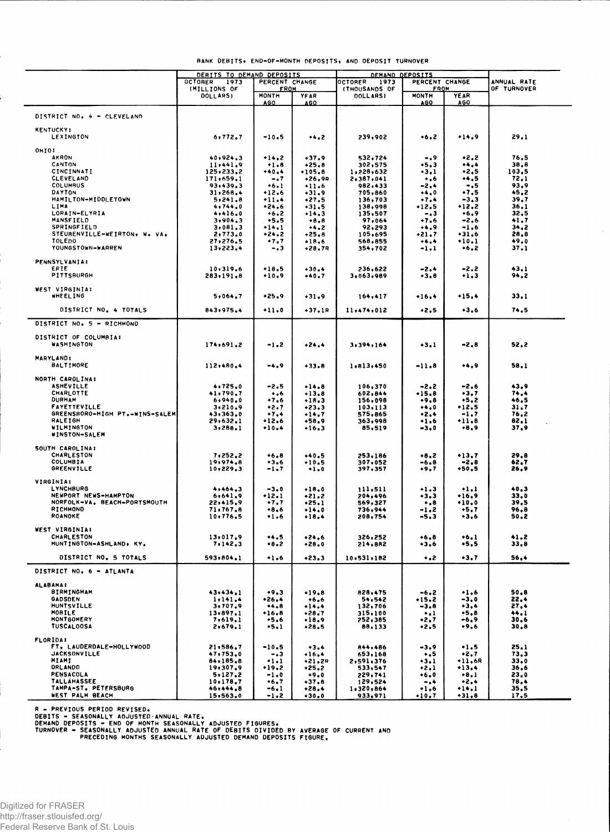|  | BANK DEBITS, END-OF-MONTH DEPOSITS, AND DEPOSIT TURNOVER |  |  |
|--|----------------------------------------------------------|--|--|
|  |                                                          |  |  |

|                                            | DEBITS TO DEMAND DEPOSITS |                      |                     | DEMAND DEPOSITS                   |                             |                                 |              |
|--------------------------------------------|---------------------------|----------------------|---------------------|-----------------------------------|-----------------------------|---------------------------------|--------------|
|                                            | <b>OCTOBER</b><br>1973    | PERCENT CHANGE       |                     | PERCENT CHANGE<br>OCTORER<br>1973 |                             |                                 | ANNUAL RATE  |
|                                            | (MILLIONS OF<br>DOLLARS)  | <b>FROM</b><br>MONTH | YEAR                | (THOUSANDS OF<br><b>DOLLARSI</b>  | <b>FROM</b><br><b>MONTH</b> | YEAR                            | OF TURNOVER  |
|                                            |                           | <u>AGO</u>           | AGO.                |                                   | <u>AGO</u>                  | <b>AGO</b>                      |              |
| DISTRICT NO. 4 - CLEVELAND                 |                           |                      |                     |                                   |                             |                                 |              |
| <b>KENTUCKY:</b><br><b>LEXINGTON</b>       | 6,772.7                   | -10.5                | **.2                | 239,902                           | +6,2                        | +14.9                           | 29.1         |
| OHIO:                                      |                           |                      |                     |                                   |                             |                                 |              |
| <b>AKRON</b><br>CANTON                     | 40,924.3<br>11,441.9      | $+14.2$<br>$+1.8$    | $+37.9$<br>$*25.8$  | 532,724<br>302,575                | -.9<br>+5,3                 | $-2.2$<br>$\leftrightarrow$ . 4 | 76.5<br>38.8 |
| CINCINNATI                                 | 125,233.2                 | $+40.4$              | $*105.8$            | 1,228,632                         | +3,1                        | $+2.5$                          | 103,5        |
| <b>CLEVELAND</b>                           | 171,659.1                 | -.7                  | $+26.9R$            | 2,387,041                         | $\ddotsc$                   | +4.5                            | 72.1         |
| <b>COLUMBUS</b><br>DAYTON                  | 93,439.3<br>31,268.4      | $+6.1$<br>$+12.6$    | $+11.6$             | 982,433<br>705,860                | -2.4<br>+4,0                | -.5<br>$+7.5$                   | 93,9<br>45,2 |
| HAMILTON-MIDDLETOWN                        | 5,241.8                   | $+11.4$              | $-31.9$<br>$+27.5$  | 136,703                           | $+7.4$                      | -3,3                            | 39,7         |
| LIMA                                       | 4,744.0                   | •24.6                | $+31.5$             | 138,998                           | •12.5                       | +12.2                           | 36.1         |
| LORAIN-ELYRIA                              | 4,416.0                   | $+6.2$               | $+14.3$             | 135,507                           | $-13$                       | $+6.9$                          | 32,5         |
| MANSFIELD<br>SPRINGFIELD                   | 3,904.3<br>3,081,3        | $+5.5$<br>$+14.1$    | $+8.8$<br>+4.2      | 97,064<br>92,293                  | +7.6<br>+4,9                | $-2.6$<br>$-1.6$                | 41,7<br>34,2 |
| STEUBENVILLE-WEIRTON, W. VA.               | 2,773.0                   | $+24.2$              | $+25.8$             | 105,695                           | +21.7                       | $*31,6$                         | 28.8         |
| TOLEDO                                     | 27,276.5                  | $+7.7$               | •18.6               | 568,855                           |                             | $+10.1$                         | 49.0         |
| YOUNGSTOWN-WARREN                          | 13,223.4                  | - . 3                | +28.7R              | 354,702                           | -1.1                        | •6,2                            | 37.1         |
| <b>PENNSYLVANIA:</b>                       |                           |                      |                     |                                   |                             |                                 |              |
| ERIE<br><b>PITTSBURGH</b>                  | 10.319.6<br>283,191.8     | $+18.5$<br>$+10.9$   | $+30.4$             | 236,622<br>3,063,989              | -2.4                        | -2.2<br>$+1.3$                  | 43,1<br>94.2 |
|                                            |                           |                      | $+40.7$             |                                   | +3.8                        |                                 |              |
| WEST VIRGINIA:<br><b>WHEELING</b>          | 5,064,7                   | •25.9                | $+31.9$             | 164,417                           | $+16.4$                     | +15.4                           | 33.1         |
| DISTRICT NO. 4 TOTALS                      | 843,975.4                 |                      | $+37.1R$            | 11,474,012                        | $+2.5$                      | $+3.6$                          | 74.5         |
| DISTRICT NO. 5 - RICHMOND                  |                           |                      |                     |                                   |                             |                                 |              |
| DISTRICT OF COLUMBIA:<br>WASHINGTON        | 174,691.2                 | -1.2                 | $+24.4$             | 3,394,164                         | $+3.1$                      | -2.8                            | 52.2         |
| <b>MARYLAND:</b>                           |                           |                      |                     |                                   |                             |                                 |              |
| <b>BALTIMORE</b>                           | 112,480.4                 | -4.9                 | $+33.8$             | 1,813,450                         | -11.8                       | **.9                            | 58.1         |
| NORTH CAROLINA:                            |                           |                      |                     |                                   |                             |                                 |              |
| <b>ASHEVILLE</b><br>CHARLOTTE              | 4,725,0<br>41,790.7       | -2.5<br>$\ddotsc$    | $+14.8$<br>$+13.8$  | 106,370<br>602,844                | -2.2<br>$+15.8$             | -2.6<br>+3,7                    | 43.9<br>74.4 |
| <b>DURHAM</b>                              | 6,940.0                   | $+7.6$               | $+18.3$             | 156,098                           | •9.8                        | -5.2                            | 46.5         |
| FAYETTEVILLE                               | 3,210.9                   | +2.7                 | $+23.3$             | 103,113                           | 0                           | •12.5                           | 31,7         |
| GREENSBORO-HIGH PT.-WINS-SALEM<br>RALEIGH  | 43,363.0                  | $+7.4$<br>$+12.6$    | $+14.7$<br>$+58,9$  | 575,865                           | $+2.4$                      | -1.7<br>$+11.8$                 | 76,2<br>82.1 |
| WILMINGTON<br>WINSTON-SALEM                | 29,632.1<br>3,288.1       | $+10.4$              | $+16,3$             | 363,998<br>85,519                 | $+1.6$<br>-3.0              | $+8.9$                          | 37,9         |
| SOUTH CAROLINA:                            |                           |                      |                     |                                   |                             |                                 |              |
| CHARLESTON                                 | 7,252,2                   | $*6.8$               | $+40.5$             | 253,186                           | $+8,2$                      | +13.7                           | 29.8         |
| <b>COLUMBIA</b>                            | 19,974.8                  | $+3.6$               | $+10.5$             | 307,052                           | -6.8                        | -2,8                            | 62,7         |
| <b>GREENVILLE</b>                          | 10,229.3                  | -1.7                 | $+1.0$              | 397,357                           | +9,7                        | +50.5                           | 26,9         |
| VIRGINIA:<br>LYNCHBURG                     |                           |                      |                     |                                   |                             |                                 | 40,3         |
| NEWPORT NEWS-HAMPTON                       | 4,464.3<br>6,641,9        | $-3.0$<br>$+12.1$    | $+18.0$<br>$*21.2$  | 111,511<br>204,496                | $+1.3$<br>+3,3              | $\ddots$<br>*16.9               | 33,0         |
| NORFOLK-VA. BEACH-PORTSMOUTH               | 22,415.9                  | $+7.7$               | $+25.1$             | 569,327                           | $\dots$                     | $*10.0$                         | 39.5         |
| RICHMOND<br>ROANOKE                        | 71,767.8<br>10,776.5      | +8.6                 | $+14.0$             | 736,944                           | -1.2                        | +5.7                            | 96.8<br>50.2 |
|                                            |                           | 6                    | $+18.4$             | 208,754                           | -5,3                        | +3,6                            |              |
| WEST VIRGINIA:                             |                           |                      |                     |                                   |                             |                                 |              |
| CHARLESTON<br>HUNTINGTON-ASHLAND, KY.      | 13,017,9<br>7.142.3       | +4.5<br>$+8.2$       | $+24.6$<br>$+28.0$  | 326,252<br>214,882                | $+6.8$<br>$+3.6$            | $+6.1$<br>+5,5                  | 41.2<br>33,8 |
|                                            |                           |                      |                     |                                   |                             |                                 |              |
| DISTRICT NO. 5 TOTALS                      | 593,804.1                 | $+1.6$               | $*23.3$             | 10.531.182                        | $\ddotsc$                   | $+3.7$                          | 56,4         |
| DISTRICT NO. 6 - ATLANTA                   |                           |                      |                     |                                   |                             |                                 |              |
| <b>ALABAMAI</b><br><b>BIRMINGHAM</b>       | 43,434.1                  | $+9.3$               | $+19.8$             | 828,475                           |                             | $+1.6$                          | 50,8         |
| <b>GADSDEN</b>                             | 1.141.4                   | $*26.4$              | $+6.6$              | 54,542                            | -6.2<br>$+15.2$             | -3.0                            | 22.4         |
| <b>HUNTSVILLE</b>                          | 3,707,9                   | $+4.8$               | $+14.4$             | 132,706                           | $-3.8$                      | +3,4                            | 27.4         |
| MOBILE<br>MONTGOMERY                       | 13.897.1<br>7,619.1       | $+16.8$<br>$+5.6$    | $+28.7$<br>$+18.9$  | 315,100<br>252,385                | $\ddotsc$<br>+2.7           | +5.8<br>-6.9                    | 44.1<br>30.6 |
| TUSCALOOSA                                 | 2,679.1                   | +5.1                 | $+28.5$             | 88,133                            | $+2.5$                      | •9.6                            | 30.8         |
| <b>FLORIDA!</b>                            |                           |                      |                     |                                   |                             |                                 |              |
| FT. LAUDERDALE-HOLLYWOOD                   | 21,586.7                  | $-10.5$              | $+3.4$              | 844,486                           | $-3.9$                      | $+1,5$                          | 25.1         |
| <b>JACKSONVILLE</b><br>MIAMI               | 47,753.0<br>84,185.8      | $-0.3$<br>$+1.1$     | $+16.4$             | 653,168<br>2,591,376              | $\ddotsc$<br>$+3.1$         | +2,7<br>$+11,6R$                | 73,3<br>33.0 |
| ORLANDO                                    | 19,307.9                  | +19.2                | $+21.2R$<br>$+25.2$ | 533,547                           | $+2.1$                      | $+13.4$                         | 36.6         |
| <b>PENSACOLA</b>                           | 5.127.2                   | $-1.0$               | $+9.0$              | 229,741                           | $+6.0$                      | $+8.1$                          | 23.0         |
| <b>TALLAHASSEE</b><br>TAMPA-ST. PETERSBURG | 10, 178, 7<br>46+444.8    | +6.7<br>-6.1         | $+37.8$<br>$+28.4$  | 129,524<br>1,320,864              | -.4<br>$+1.6$               | $+2.4$<br>$+14.1$               | 78.4<br>35.5 |
| WEST PALM BEACH                            | 15,563.0                  | $-1.2$               | $+30.0$             | 933,971                           | +10.7                       | $+31.8$                         | 17.5         |

R – PREVIOUS PERIOD REVISED.<br>DEBITS – SEASONALLY ADJUSTED ANNUAL RATE.<br>DEMAND DEPOSITS – END OF MONTH SEASONALLY ADJUSTED FIGURES.<br>TURNOVER – SEASONALLY ADJUSTED ANNUAL RATE OF BEITS OIVIDED BY AVERAGE OF CURRENT AND<br>TURNO

Digitized for FRASER http://fraser.stlouisfed.org/

Federal Reserve Bank of St. Louis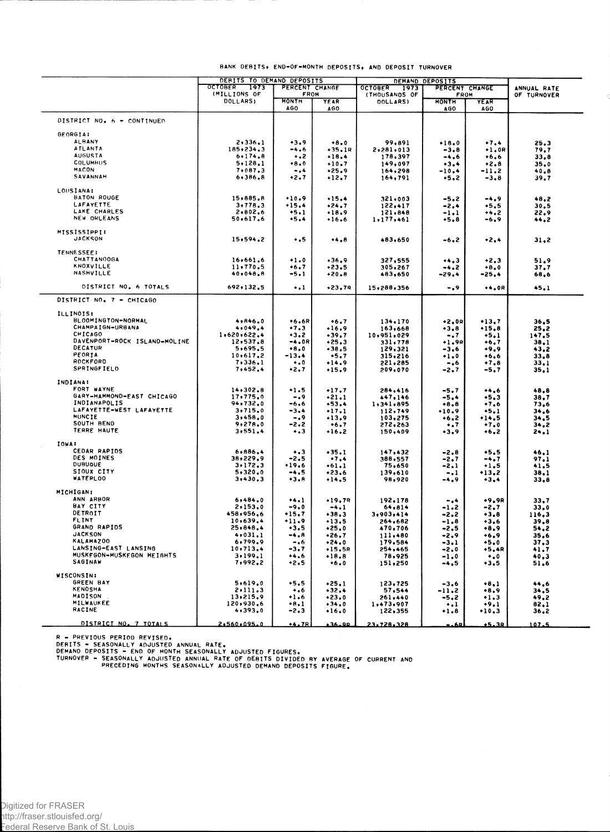|                                           | DEBITS TO DEMAND DEPOSITS |                             |                    | DEMAND DEPOSITS        |                      |                         |              |
|-------------------------------------------|---------------------------|-----------------------------|--------------------|------------------------|----------------------|-------------------------|--------------|
|                                           | OCTOBER 1973              | PERCENT CHANGE              |                    | <b>OCTOBER</b><br>1973 | PERCENT CHANGE       |                         | ANNUAL RATE  |
|                                           | (MILLIONS OF<br>DOLLARS)  | <b>FROM</b><br><b>MONTH</b> |                    | (THOUSANDS OF          | FROM<br><b>MONTH</b> |                         | OF TURNOVER  |
|                                           |                           | <b>AGO</b>                  | YEAR<br>AGO        | DOLLARS)               | <b>AGO</b>           | YEAR<br>AGO             |              |
|                                           |                           |                             |                    |                        |                      |                         |              |
| DISTRICT NO. 6 - CONTINUED                |                           |                             |                    |                        |                      |                         |              |
| GEORGIA:                                  |                           |                             |                    |                        |                      |                         |              |
| <b>ALBANY</b>                             | 2,336.1                   | $+3.9$                      | $+8.0$             | 99,891                 | $+18.0$              | $+7.4$                  | 25.3         |
| <b>ATLANTA</b>                            | 185,234.3                 | -4.6                        | $+35.1R$           | 2,281,013              | $-3.8$               | $+1,0R$                 | 79.7         |
| <b>AUGUSTA</b>                            | 6.174.8                   | $+ - 2$                     | $+18.4$            | 178,397                | $-4.6$               | $+6.6$                  | 33,8         |
| COLUMBUS                                  | 5.128.1                   | $+8.0$                      | $+10.7$            | 149,097                | $+3.4$               | $+2.8$                  | 35.0         |
| <b>MACON</b>                              | 7,087.3                   | $-0.4$                      | $+25.9$            | 164,298                | $-10.4$              | -11.2                   | 40,8         |
| SAVANNAH                                  | 6,386,8                   | $+2.7$                      | $+12.7$            | 164,791                | $+5.2$               | $-3.8$                  | 39.7         |
|                                           |                           |                             |                    |                        |                      |                         |              |
| LOUSIANA:                                 |                           |                             |                    |                        |                      |                         |              |
| <b>BATON ROUGE</b>                        | 15,885.8                  | $+10.9$                     | $+15.4$            | 321,003                | $-5.2$               | $-4.9$                  | 48.2         |
| <b>LAFAYETTE</b>                          | 3,778,3                   | $+15.4$                     | $+24.7$            | 122,417                | -2.4                 | $+5.5$                  | 30.5         |
| LAKE CHARLES                              | 2,802.6                   | $+5.1$                      | $+18.9$            | 121,848                | $-1.1$               | +4.2                    | 22.9         |
| NEW ORLEANS                               | 50.617.6                  | $+5.4$                      | $+16.6$            | 1.177.461              | $+5.8$               | -6.9                    | 44.2         |
|                                           |                           |                             |                    |                        |                      |                         |              |
| MISSISSIPPI:                              |                           |                             |                    |                        |                      |                         |              |
| <b>JACKSON</b>                            | 15, 594, 2                | $\ddotsc$                   | $+4.8$             | 483,650                | -6.2                 | $+2.4$                  | 31,2         |
|                                           |                           |                             |                    |                        |                      |                         |              |
| <b>TENNESSEE:</b>                         |                           |                             |                    |                        |                      |                         |              |
| CHATTAN00GA                               | 16,661,6                  | $+1.0$                      | $+36.9$            | 327,555                | 3                    | $+2,3$                  | 51.9         |
| <b>KNOXVILLE</b>                          | 11.770.5                  | $+6.7$                      | $+23.5$            | 305,267                | $-4.2$               | $+8,0$                  | 37,7         |
| NASHVILLE                                 | 40.048.8                  | $-5.1$                      | $+20.8$            | 483,650                | -29.4                | $-25.4$                 | 68,6         |
|                                           |                           |                             |                    |                        |                      |                         |              |
| DISTRICT NO. 6 TOTALS                     | 692,132.5                 | $\ddotsc$                   | $+23.79$           | 15,288,356             | -.9                  | $+4.0R$                 | 45.1         |
| DISTRICT NO. 7 - CHICAGO                  |                           |                             |                    |                        |                      |                         |              |
|                                           |                           |                             |                    |                        |                      |                         |              |
| <b>ILLINOIS:</b>                          |                           |                             |                    |                        |                      |                         |              |
| BLOOMINGTON-NORMAL                        |                           |                             |                    |                        |                      |                         |              |
| CHAMPAIGN-URBANA                          | 4,846.0<br>4,049,4        | $+6.6R$<br>$+7.3$           | $+6.7$             | 134,170                | $+2.0R$              | $+13.7$                 | 36,5         |
| CHICAGO                                   |                           |                             | $+16.9$            | 163,668                | $+3.8$               | $*15.8$                 | 25,2         |
| DAVENPORT-ROCK ISLAND-MOLINE              | 1,620,622.4               | $+3,2$                      | $+39.7$            | 10,951,029             | $-.7$                | $+5.1$                  | 147.5        |
|                                           | 12,537.8                  | -4.0R                       | $*25.3$            | 331,778                | $+1.9R$              | $+6.7$                  | 38.1         |
| <b>DECATUR</b>                            | 5,695.5                   | $+8.0$                      | $+38.5$            | 129,321                | -3.6                 | +9,9                    | 43,2         |
| PEORIA<br>ROCKFORD                        | 10,617,2                  | -13.4                       | $+5.7$             | 315,216                | $+1.0$               | $+6.6$                  | 33,8         |
|                                           | 7,336.1                   | $\bullet$ .0                | $+14.9$            | 221,285                | $-16$                | $+7.8$                  | 33,1         |
| <b>SPRINGFIELD</b>                        | 7,452.4                   | $+2.7$                      | $+15.9$            | 209,070                | -2.7                 | -5,7                    | 35.1         |
| <b>INDIANA:</b>                           |                           |                             |                    |                        |                      |                         |              |
| FORT WAYNE                                |                           |                             |                    |                        |                      |                         |              |
|                                           | 14,302.8                  | $+1.5$                      | $+17.7$            | 284,416                | $-5.7$               | $+4.6$                  | 48.8         |
| GARY-HAMMOND-EAST CHICAGO<br>INDIANAPOLIS | 17,775.0                  | -.9                         | $+21.1$            | 447,146                | -5.4                 | $+5,3$                  | 38,7         |
| LAFAYETTE-WEST LAFAYETTE                  | 94,732.0                  | -6.6                        | $+53.4$            | 1,341,895              | $+8.8$               | $+7.6$                  | 73,6         |
| MUNCIE                                    | 3,715.0                   | -3.4                        | $+17.1$            | 112,749                | $+10.9$              | $+5.1$                  | 34.6         |
| SOUTH BEND                                | 3,458.0                   | -.9                         | $+13.9$            | 103,275                | $+6.2$               | +14.5                   | 34.5         |
| TERRE HAUTE                               | 9,278.0                   | -2.2                        | $+6.7$             | 272,263                | $\ddotsc$            | $-7.0$                  | 34.2         |
|                                           | 3,551,4                   | $+ 3$                       | $+16.2$            | 150,409                | $+3.9$               | $+6.2$                  | 24.1         |
| IOWA:                                     |                           |                             |                    |                        |                      |                         |              |
| CEDAR RAPIDS                              | 6,886,4                   |                             |                    |                        |                      |                         |              |
| DES MOINES                                | 38,229,9                  | $\ddotsc$<br>$-2.5$         | $*35.1$<br>$+7.4$  | 147,432<br>388,557     | $-2.8$               | $+5.5$                  | 46,1         |
| <b>DUBUOUE</b>                            | 3.172.3                   | $+19.6$                     |                    | 75,650                 | $-2.7$               | $-4.7$                  | 97.1         |
| SIOUX CITY                                | 5,320,0                   | $-4.5$                      | $+61.1$            |                        | -2.1                 | $+1.5$                  | 41,5         |
| <b>WATERLOO</b>                           | 3,430.3                   | $+3.8$                      | $+23.6$<br>$+14.5$ | 139,610<br>98,920      | $-.1$                | $+13.2$                 | 38,1         |
|                                           |                           |                             |                    |                        | $-4.9$               | $+3.4$                  | 33,8         |
| <b>MICHIGAN:</b>                          |                           |                             |                    |                        |                      |                         |              |
| ANN ARBOR                                 | 6,484.0                   | $+4.1$                      | $+19.7R$           | 192,178                | -.4                  | $+9,9R$                 | 33,7         |
| BAY CITY                                  | 2,153.0                   | $-9.0$                      | $-4.1$             | 64,814                 | -1.2                 | $-2.7$                  |              |
| DETROIT                                   | 458,956.6                 | $+15.7$                     | $+38,3$            | 3.903.414              |                      | $+3.8$                  | 33.0         |
| <b>FLINT</b>                              |                           |                             |                    |                        | -2.2                 |                         | 116.3        |
| GRAND RAPIDS                              | 10,639.4                  | 11.9                        | $+13.5$            | 264,682                | -1.8                 | $+3.6$                  | 39.8         |
| <b>JACKSON</b>                            | 25,848.4<br>4,031.1       | $+3.5$                      | $+25.0$            | 470,706                | -2.5                 | +8.9                    | 54,2         |
| <b>KALAMAZOO</b>                          | 6,799.9                   | $-4.8$                      | $+26.7$            | 111,480                | -2.9                 | $+6.9$                  | 35.6         |
|                                           |                           | $-.6$                       | $+24.0$            | 179.584                | $-3.1$               | $+5.0$                  | 37.3         |
| LANSING-EAST LANSING                      | 10,713.4                  | -3.7                        | $+15.5R$           | 254,465                | -2.0                 | $+5,4R$                 | 41.7         |
| MUSKFGON-MUSKFGON HEIGHTS<br>SAGINAW      | 3.199.1<br>7,992.2        | $+4.6$                      | $+18.8$            | 78,925                 | -1.0                 | $\ddotsc$               | 40,3         |
|                                           |                           | +2.5                        | $+6.0$             | 151,250                | -4,5                 | $+3.5$                  | 51.6         |
| WISCONSIN:                                |                           |                             |                    |                        |                      |                         |              |
| GREEN BAY                                 | 5,619.0                   | $+5.5$                      | $+25.1$            | 123,725                |                      |                         |              |
| <b>KENOSHA</b>                            | 2.111.3                   | $\ddotsc$                   | $+32.4$            | 57,544                 | $-3.6$               | $+8.1$                  | 44,6         |
| MADISON                                   | 13,215,9                  | $+1.6$                      | $+23.0$            |                        | -11.2                | $\bullet$ 8 $\bullet$ 9 | 34.5         |
| MILWAUKEE                                 | 120,930.6                 | $+8.1$                      | $+34.0$            | 261,440<br>1,473,907   | -5.2                 | $+1.3$<br>$+9.1$        | 49.2<br>82,1 |
| RACINE                                    | 4,393.0                   | $-2.3$                      | $+16.0$            | 122,355                | $\ddotsc$<br>$+1.8$  | $+10.3$                 | 36.2         |
|                                           |                           |                             |                    |                        |                      |                         |              |
| DISTRICT NO. 7 TOTALS                     | 2.560.095.0               | $+4.7R$                     | 36.98              | 23.728.328             | - 62                 | عقمك                    | 107.5        |
|                                           |                           |                             |                    |                        |                      |                         |              |

### **BANK DEBITS\* END-OF-MONTH DEPOSITS, AND DEPOSIT TURNOVER**

R – PREVIOUS PERIOD REVISEO.<br>DERITS – SEASONALLY ADJUSTED ANNUAL RATE.<br>DEMAND DEPOSITS – END OF MONTH SEASONALLY ADJUSTED FIGURES.<br>TURNOVER – SEASONALLY ADJUSTED ANNUAL RATE OF BITTS DIVIDED BY AVERAGE OF CURRENT AND<br>TURNO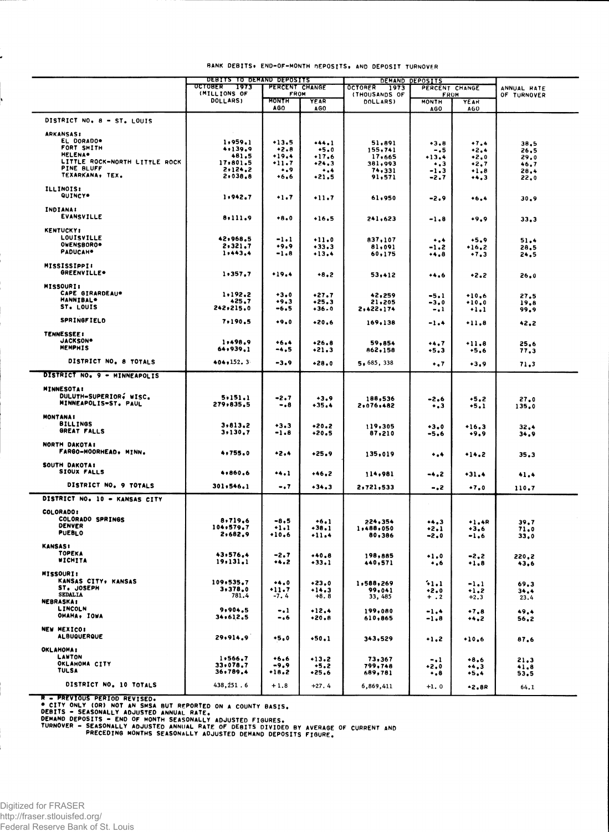|                                                | DEBITS TO DEMAND DEPOSITS       |                              |                      | DEMAND DEPOSITS                          |                             |                  |              |
|------------------------------------------------|---------------------------------|------------------------------|----------------------|------------------------------------------|-----------------------------|------------------|--------------|
|                                                | <b>OCTOBER</b><br>1973          | PERCENT CHANGE               |                      | <b>OCTORER</b><br>1973<br>PERCENT CHANGE |                             |                  | ANNUAL RATE  |
|                                                | (MILLIONS OF<br><b>DOLLARS)</b> | <b>FROM</b><br>MONTH         | YEAR                 | (THOUSANDS OF<br>DOLLARS)                | <b>FROM</b><br><b>MONTH</b> | <b>YEAR</b>      | OF TURNOVER  |
|                                                |                                 | AGO                          | AGO                  |                                          | AGO.                        | AGO              |              |
| DISTRICT NO. 8 - ST. LOUIS                     |                                 |                              |                      |                                          |                             |                  |              |
| <b>ARKANSAS:</b>                               |                                 |                              |                      |                                          |                             |                  |              |
| EL DORADO*                                     | 1,959.1                         | $+13.5$                      | $+44.1$              | 51,891                                   | $+3.8$                      | $+7.4$           | 38.5         |
| FORT SMITH                                     | 4.139.9                         | $+2.8$                       | $+5.0$               | 155,741                                  | -.5                         | +2.4             | 26,5         |
| <b>HELENA*</b>                                 | 481,5                           | $+19.4$                      | $+17.6$              | 17,665                                   | +13.4                       | $+2.0$           | 29.0         |
| LITTLE ROCK-NORTH LITTLE ROCK<br>PINE BLUFF    | 17,801.5<br>2.124.2             | $+11.7$                      | $+24.3$              | 381,993                                  | $\ddotsc$                   | $+2.7$           | 46.7         |
| TEXARKANA, TEX.                                | $2 \cdot 038.8$                 | ۰.,<br>•6.6                  | $\ddotsc$<br>$+21.5$ | 74,331<br>91,571                         | $-1.3$<br>-2.7              | $+1.8$<br>$+4.3$ | 28.4<br>22.0 |
| <b>ILLINOIS:</b>                               |                                 |                              |                      |                                          |                             |                  |              |
| QUINCY*                                        | 1.942.7                         | $+1.7$                       | $+11.7$              | 61,950                                   | -2.9                        | $+6.4$           | 30.9         |
|                                                |                                 |                              |                      |                                          |                             |                  |              |
| <b>INDIANA:</b><br><b>EVANSVILLE</b>           | 8,111.9                         |                              |                      |                                          |                             |                  |              |
|                                                |                                 | $+8.0$                       | $+16.5$              | 241,623                                  | -1.8                        | $+9.9$           | 33,3         |
| <b>KENTUCKY:</b>                               |                                 |                              |                      |                                          |                             |                  |              |
| LOUISVILLE<br>OWENSBORO*                       | 42,968.5                        | -1.1                         | $+11.0$              | 837,107                                  | $\ddotsc$                   | $+5.9$           | 51.4         |
| PADUCAH <sup>*</sup>                           | 2,321.7<br>1,443,4              | +9.9<br>-1.8                 | $+33.3$              | 81,091                                   | -1.2                        | $+16,2$          | 28.5         |
|                                                |                                 |                              | $+13,4$              | 60,175                                   | •4,8                        | .7.3             | 24.5         |
| <b>MISSISSIPPI:</b>                            |                                 |                              |                      |                                          |                             |                  |              |
| GREENVILLE*                                    | 1,357,7                         | $+19.4$                      | $+8.2$               | 53,412                                   | $+4.6$                      | $+2.2$           | 26,0         |
| <b>MISSOURI:</b>                               |                                 |                              |                      |                                          |                             |                  |              |
| CAPE GIRARDEAU*                                | 1,192.2                         | $+3.0$                       | $+27.7$              | 42,259                                   | $-5.1$                      | $+10.6$          | 27.5         |
| <b>HANNIBAL*</b><br>ST. LOUIS                  | 425.7                           | $+9.3$                       | $*25.3$              | 21,205                                   | $-3,0$                      | $+10.0$          | 19,8         |
|                                                | 242,215.0                       | -6.5                         | $+36.0$              | 2,422,174                                | $-.1$                       | $+1.1$           | 99,9         |
| <b>SPRINGFIELD</b>                             | 7,190.5                         | $+9.0$                       | $+20,6$              | 169,138                                  | $-1.4$                      | $+11.8$          | 42.2         |
| <b>TENNESSEE:</b>                              |                                 |                              |                      |                                          |                             |                  |              |
| JACKSON*                                       | 1,498.9                         | $+6.4$                       | $+26.8$              | 59,854                                   | $+4.7$                      | $+11.8$          | 25.6         |
| <b>MEMPHIS</b>                                 | 64,939,1                        | -4.5                         | $+21.3$              | 862,158                                  | $+5.3$                      | $+5.6$           | 77,3         |
| DISTRICT NO. 8 TOTALS                          | 404, 152, 3                     | $-3.9$                       | $+28.0$              | 5,685,338                                | $\ddotsc$                   | $+3.9$           | 71,3         |
| DISTRICT NO. 9 - MINNEAPOLIS                   |                                 |                              |                      |                                          |                             |                  |              |
|                                                |                                 |                              |                      |                                          |                             |                  |              |
| <b>MINNESOTA!</b>                              |                                 |                              |                      |                                          |                             |                  |              |
| DULUTH-SUPERIOR, WISC.<br>MINNEAPOLIS-ST. PAUL | 5.151.1                         | -2.7                         | $+3.9$               | 188,536                                  | -2.6                        | $+5.2$           | 27.0         |
|                                                | 279,835.5                       | -.8                          | $+35.4$              | 2,076,482                                | $\ddotsc$                   | $+5.1$           | 135.0        |
| <b>MONTANAI</b>                                |                                 |                              |                      |                                          |                             |                  |              |
| <b>BILLINGS</b><br>GREAT FALLS                 | 3,813,2                         | $+3.3$                       | $+20.2$              | 119,305                                  | $+3.0$                      | $+16.3$          | 32.4         |
|                                                | 3.130.7                         | -1.8                         | +20.5                | 87,210                                   | -5,6                        | $+9.9$           | 34,9         |
| NORTH DAKOTA:                                  |                                 |                              |                      |                                          |                             |                  |              |
| FARGO-MOORHEAD, MINN.                          | 4,755.0                         | +2.4                         | $+25.9$              | 135,019                                  | ۰.۰                         | $+14.2$          | 35.3         |
| SOUTH DAKOTA:                                  |                                 |                              |                      |                                          |                             |                  |              |
| SIOUX FALLS                                    | 4,860,6                         | •4.1                         | $+46.2$              | 114,981                                  | -4.2                        | $+31.4$          | 41.4         |
| DISTRICT NO. 9 TOTALS                          | 301,546.1                       | - . 7                        | $+34.3$              | 2,721,533                                | -.2                         | $+7.0$           | 110.7        |
| DISTRICT NO. 10 - KANSAS CITY                  |                                 |                              |                      |                                          |                             |                  |              |
|                                                |                                 |                              |                      |                                          |                             |                  |              |
| COLORADO:                                      |                                 |                              |                      |                                          |                             |                  |              |
| COLORADO SPRINGS<br><b>DENVER</b>              | 8,719,6                         | -8,5                         | $+6.1$               | 224,354                                  | +4,3                        | $+1.4R$          | 39.7         |
| <b>PUEBLO</b>                                  | 104,579.7<br>2,682.9            | $+1.1$<br>$+10.6$            | +38.1<br>$+11.4$     | 1,488,050<br>80,386                      | •2.1                        | $+3.6$           | 71.0         |
|                                                |                                 |                              |                      |                                          | -2.0                        | $-1.6$           | 33,0         |
| <b>KANSAS:</b><br>TOPEKA                       |                                 |                              |                      |                                          |                             |                  |              |
| WICHITA                                        | 43,576,4<br>19, 131, 1          | -2.7<br>$\leftrightarrow$ .2 | +40.8<br>+33.1       | 198,885<br>440,571                       | $+1.0$                      | $-2,2$           | 220.2        |
|                                                |                                 |                              |                      |                                          | $\cdot$ , 6                 | $+1.8$           | 43,6         |
| <b>MISSOURI:</b><br>KANSAS CITY, KANSAS        |                                 |                              |                      |                                          |                             |                  |              |
| ST. JOSEPH                                     | 109,535.7<br>3,378.0            | 0<br>•11.7                   | $*23.0$<br>$+14.3$   | 1,588,269<br>99,041                      | 41.1                        | -1.1             | 69.3         |
| <b>SEDALIA</b>                                 | 781.4                           | $-7.4$                       | $+8.8$               | 33, 485                                  | $+2.0$<br>$+$ . 2           | $+1.2$<br>$+2.3$ | 34.4<br>23.4 |
| <b>NEBRASKA:</b><br>LINCOLN                    |                                 |                              |                      |                                          |                             |                  |              |
| OMAHA, IOWA                                    | 9,904.5<br>34,612,5             | $-.1$<br>$-0.6$              | $+12.4$<br>$+20.8$   | 199,080<br>610,865                       | $-1.4$                      | $+7.8$           | 49.4         |
|                                                |                                 |                              |                      |                                          | $-1.8$                      | +4,2             | 56,2         |
| <b>NEW MEXICO:</b><br><b>ALBUQUERQUE</b>       |                                 |                              |                      |                                          |                             |                  |              |
|                                                | 29.914.9                        | $+5.0$                       | $+50.1$              | 343.529                                  | $+1.2$                      | $+10.6$          | 87.6         |
| <b>OKLAHOMA:</b>                               |                                 |                              |                      |                                          |                             |                  |              |
| LAWTON<br>OKLAHOMA CITY                        | 1.566.7                         | $+6.6$                       | $+13.2$              | 73,367                                   | -.1                         | $+8.6$           | 21.3         |
| <b>TULSA</b>                                   | 33,078.7<br>36,789.4            | -9,9<br>$+18.2$              | $+5.2$<br>$*25.6$    | 799,748<br>689,781                       | $+2.0$                      | $+4.3$           | 41.8         |
|                                                |                                 |                              |                      |                                          | $\cdot$ .8                  | $+5.4$           | 53.5         |
| DISTRICT NO. 10 TOTALS                         | 438,251.6                       | $+1.8$                       | $+27.4$              | 6,869,411                                | $+1.0$                      | $-2.8R$          | 64.1         |

### **BANK DEBITS\* END-OF-MONTH DEPOSITS, AND DEPOSIT TURNOVER**

® CITY ONLY (OR) NOT AN SMSA BUT REPORTED ON A COUNTY BASIS.<br>DEBITS - SEASONALLY ADJUSTED ANNUAL RATE.<br>DEMAND DEPOSITS - END OF MONTH SEASONALLY ADJUSTED FIGURES.<br>TURNOVER - SEASONALLY ANDUSTED DEMAND DEPOSITS FIGURE.<br>"PRE